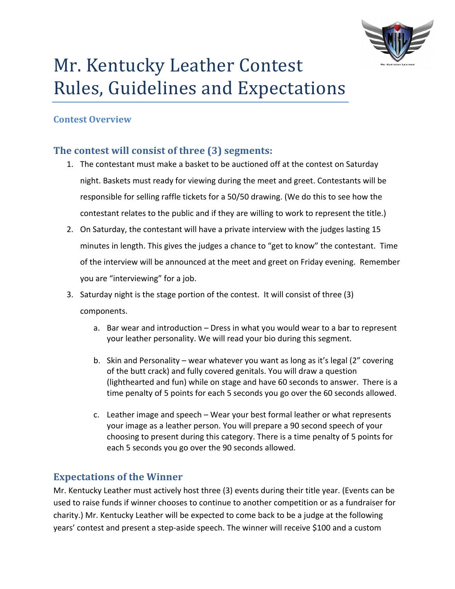

## Mr. Kentucky Leather Contest Rules, Guidelines and Expectations

#### **Contest Overview**

#### **The contest will consist of three (3) segments:**

- 1. The contestant must make a basket to be auctioned off at the contest on Saturday night. Baskets must ready for viewing during the meet and greet. Contestants will be responsible for selling raffle tickets for a 50/50 drawing. (We do this to see how the contestant relates to the public and if they are willing to work to represent the title.)
- 2. On Saturday, the contestant will have a private interview with the judges lasting 15 minutes in length. This gives the judges a chance to "get to know" the contestant. Time of the interview will be announced at the meet and greet on Friday evening. Remember you are "interviewing" for a job.

3. Saturday night is the stage portion of the contest. It will consist of three  $(3)$ components.

- a. Bar wear and introduction  $-$  Dress in what you would wear to a bar to represent your leather personality. We will read your bio during this segment.
- b. Skin and Personality wear whatever you want as long as it's legal (2" covering of the butt crack) and fully covered genitals. You will draw a question (lighthearted and fun) while on stage and have 60 seconds to answer. There is a time penalty of 5 points for each 5 seconds you go over the 60 seconds allowed.
- c. Leather image and speech Wear your best formal leather or what represents your image as a leather person. You will prepare a 90 second speech of your choosing to present during this category. There is a time penalty of 5 points for each 5 seconds you go over the 90 seconds allowed.

#### **Expectations of the Winner**

Mr. Kentucky Leather must actively host three (3) events during their title year. (Events can be used to raise funds if winner chooses to continue to another competition or as a fundraiser for charity.) Mr. Kentucky Leather will be expected to come back to be a judge at the following years' contest and present a step-aside speech. The winner will receive \$100 and a custom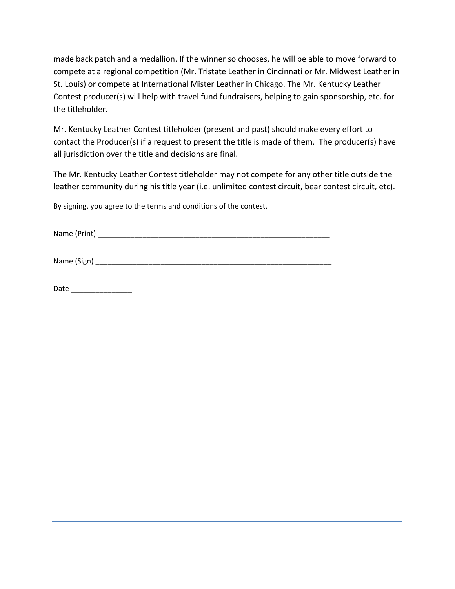made back patch and a medallion. If the winner so chooses, he will be able to move forward to compete at a regional competition (Mr. Tristate Leather in Cincinnati or Mr. Midwest Leather in St. Louis) or compete at International Mister Leather in Chicago. The Mr. Kentucky Leather Contest producer(s) will help with travel fund fundraisers, helping to gain sponsorship, etc. for the titleholder.

Mr. Kentucky Leather Contest titleholder (present and past) should make every effort to contact the Producer(s) if a request to present the title is made of them. The producer(s) have all jurisdiction over the title and decisions are final.

The Mr. Kentucky Leather Contest titleholder may not compete for any other title outside the leather community during his title year (i.e. unlimited contest circuit, bear contest circuit, etc).

By signing, you agree to the terms and conditions of the contest.

Name (Print) \_\_\_\_\_\_\_\_\_\_\_\_\_\_\_\_\_\_\_\_\_\_\_\_\_\_\_\_\_\_\_\_\_\_\_\_\_\_\_\_\_\_\_\_\_\_\_\_\_\_\_\_\_\_\_\_\_

Name (Sign) \_\_\_\_\_\_\_\_\_\_\_\_\_\_\_\_\_\_\_\_\_\_\_\_\_\_\_\_\_\_\_\_\_\_\_\_\_\_\_\_\_\_\_\_\_\_\_\_\_\_\_\_\_\_\_\_\_\_

| Date |  |
|------|--|
|      |  |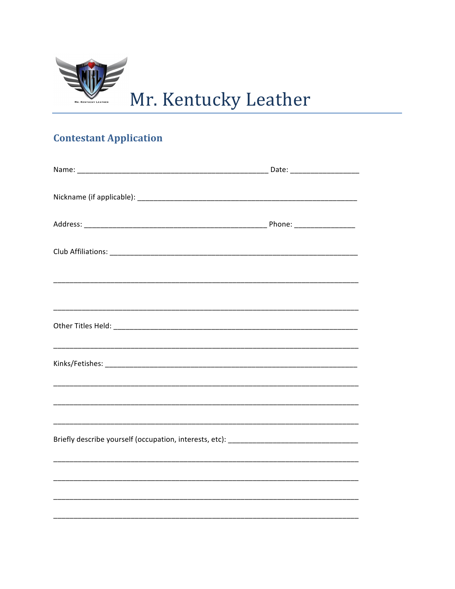

# Mr. Kentucky Leather

### **Contestant Application**

| <u> 1999 - Johann Harry Harry Harry Harry Harry Harry Harry Harry Harry Harry Harry Harry Harry Harry Harry Harry</u> |  |  |  |
|-----------------------------------------------------------------------------------------------------------------------|--|--|--|
|                                                                                                                       |  |  |  |
|                                                                                                                       |  |  |  |
|                                                                                                                       |  |  |  |
|                                                                                                                       |  |  |  |
|                                                                                                                       |  |  |  |
|                                                                                                                       |  |  |  |
|                                                                                                                       |  |  |  |
|                                                                                                                       |  |  |  |
|                                                                                                                       |  |  |  |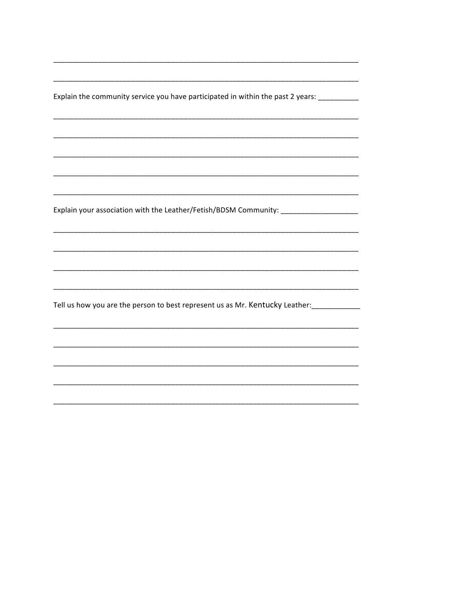Explain the community service you have participated in within the past 2 years: \_\_\_\_\_\_\_\_\_\_\_

Explain your association with the Leather/Fetish/BDSM Community: \_\_\_\_\_\_\_\_\_\_\_\_\_\_\_\_